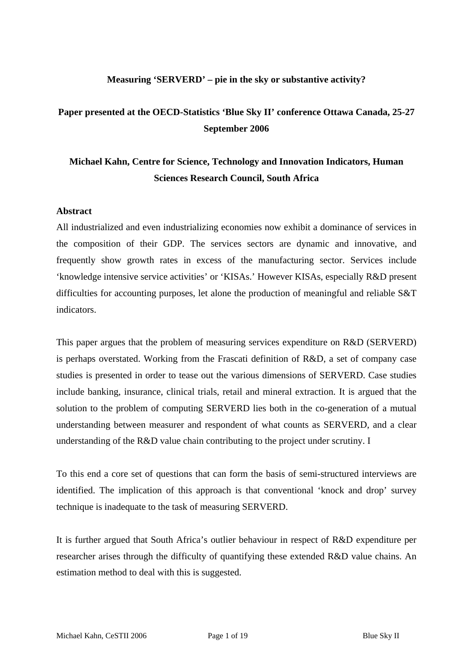### **Measuring 'SERVERD' – pie in the sky or substantive activity?**

### **Paper presented at the OECD-Statistics 'Blue Sky II' conference Ottawa Canada, 25-27 September 2006**

## **Michael Kahn, Centre for Science, Technology and Innovation Indicators, Human Sciences Research Council, South Africa**

#### **Abstract**

All industrialized and even industrializing economies now exhibit a dominance of services in the composition of their GDP. The services sectors are dynamic and innovative, and frequently show growth rates in excess of the manufacturing sector. Services include 'knowledge intensive service activities' or 'KISAs.' However KISAs, especially R&D present difficulties for accounting purposes, let alone the production of meaningful and reliable S&T indicators.

This paper argues that the problem of measuring services expenditure on R&D (SERVERD) is perhaps overstated. Working from the Frascati definition of R&D, a set of company case studies is presented in order to tease out the various dimensions of SERVERD. Case studies include banking, insurance, clinical trials, retail and mineral extraction. It is argued that the solution to the problem of computing SERVERD lies both in the co-generation of a mutual understanding between measurer and respondent of what counts as SERVERD, and a clear understanding of the R&D value chain contributing to the project under scrutiny. I

To this end a core set of questions that can form the basis of semi-structured interviews are identified. The implication of this approach is that conventional 'knock and drop' survey technique is inadequate to the task of measuring SERVERD.

It is further argued that South Africa's outlier behaviour in respect of R&D expenditure per researcher arises through the difficulty of quantifying these extended R&D value chains. An estimation method to deal with this is suggested.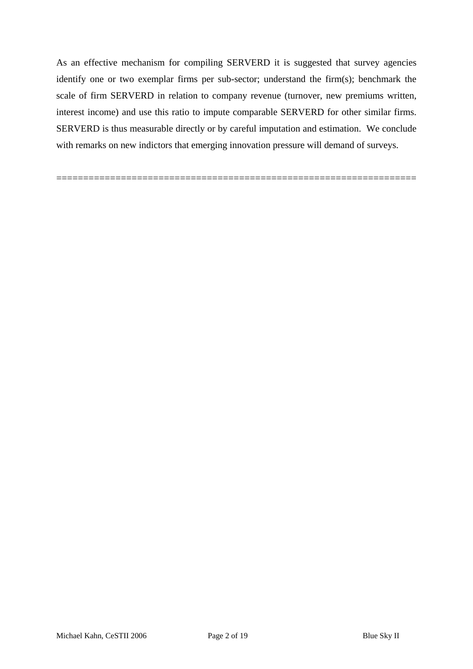As an effective mechanism for compiling SERVERD it is suggested that survey agencies identify one or two exemplar firms per sub-sector; understand the firm(s); benchmark the scale of firm SERVERD in relation to company revenue (turnover, new premiums written, interest income) and use this ratio to impute comparable SERVERD for other similar firms. SERVERD is thus measurable directly or by careful imputation and estimation. We conclude with remarks on new indictors that emerging innovation pressure will demand of surveys.

===================================================================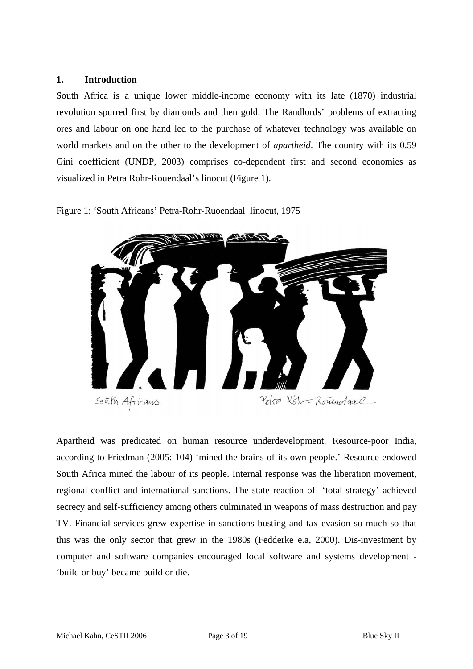#### **1. Introduction**

South Africa is a unique lower middle-income economy with its late (1870) industrial revolution spurred first by diamonds and then gold. The Randlords' problems of extracting ores and labour on one hand led to the purchase of whatever technology was available on world markets and on the other to the development of *apartheid*. The country with its 0.59 Gini coefficient (UNDP, 2003) comprises co-dependent first and second economies as visualized in Petra Rohr-Rouendaal's linocut (Figure 1).

Figure 1: 'South Africans' Petra-Rohr-Ruoendaal linocut, 1975



Apartheid was predicated on human resource underdevelopment. Resource-poor India, according to Friedman (2005: 104) 'mined the brains of its own people.' Resource endowed South Africa mined the labour of its people. Internal response was the liberation movement, regional conflict and international sanctions. The state reaction of 'total strategy' achieved secrecy and self-sufficiency among others culminated in weapons of mass destruction and pay TV. Financial services grew expertise in sanctions busting and tax evasion so much so that this was the only sector that grew in the 1980s (Fedderke e.a, 2000). Dis-investment by computer and software companies encouraged local software and systems development - 'build or buy' became build or die.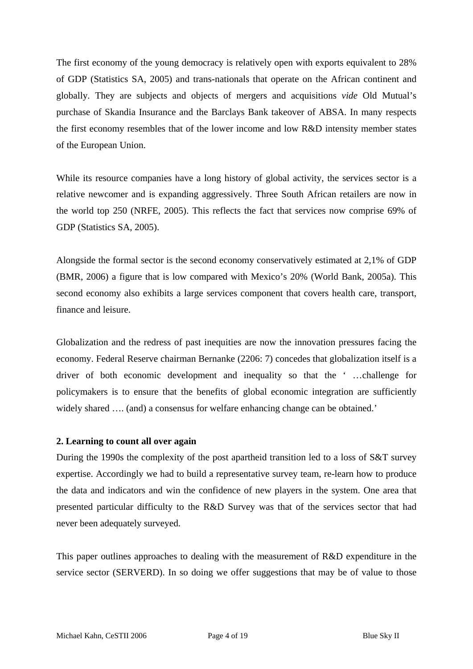The first economy of the young democracy is relatively open with exports equivalent to 28% of GDP (Statistics SA, 2005) and trans-nationals that operate on the African continent and globally. They are subjects and objects of mergers and acquisitions *vide* Old Mutual's purchase of Skandia Insurance and the Barclays Bank takeover of ABSA. In many respects the first economy resembles that of the lower income and low R&D intensity member states of the European Union.

While its resource companies have a long history of global activity, the services sector is a relative newcomer and is expanding aggressively. Three South African retailers are now in the world top 250 (NRFE, 2005). This reflects the fact that services now comprise 69% of GDP (Statistics SA, 2005).

Alongside the formal sector is the second economy conservatively estimated at 2,1% of GDP (BMR, 2006) a figure that is low compared with Mexico's 20% (World Bank, 2005a). This second economy also exhibits a large services component that covers health care, transport, finance and leisure.

Globalization and the redress of past inequities are now the innovation pressures facing the economy. Federal Reserve chairman Bernanke (2206: 7) concedes that globalization itself is a driver of both economic development and inequality so that the ' …challenge for policymakers is to ensure that the benefits of global economic integration are sufficiently widely shared .... (and) a consensus for welfare enhancing change can be obtained.'

#### **2. Learning to count all over again**

During the 1990s the complexity of the post apartheid transition led to a loss of S&T survey expertise. Accordingly we had to build a representative survey team, re-learn how to produce the data and indicators and win the confidence of new players in the system. One area that presented particular difficulty to the R&D Survey was that of the services sector that had never been adequately surveyed.

This paper outlines approaches to dealing with the measurement of R&D expenditure in the service sector (SERVERD). In so doing we offer suggestions that may be of value to those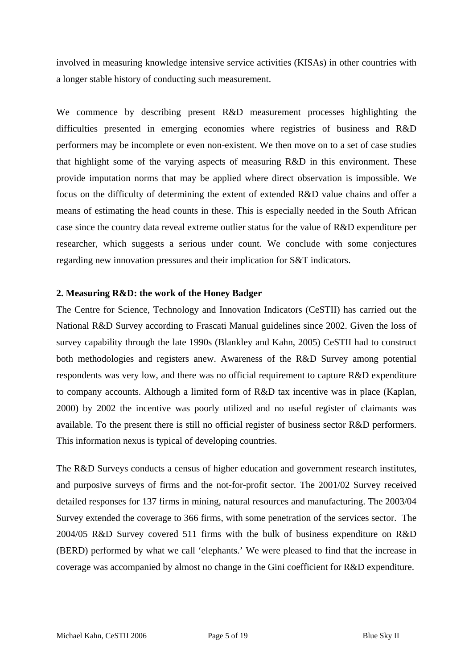involved in measuring knowledge intensive service activities (KISAs) in other countries with a longer stable history of conducting such measurement.

We commence by describing present R&D measurement processes highlighting the difficulties presented in emerging economies where registries of business and R&D performers may be incomplete or even non-existent. We then move on to a set of case studies that highlight some of the varying aspects of measuring R&D in this environment. These provide imputation norms that may be applied where direct observation is impossible. We focus on the difficulty of determining the extent of extended R&D value chains and offer a means of estimating the head counts in these. This is especially needed in the South African case since the country data reveal extreme outlier status for the value of R&D expenditure per researcher, which suggests a serious under count. We conclude with some conjectures regarding new innovation pressures and their implication for S&T indicators.

#### **2. Measuring R&D: the work of the Honey Badger**

The Centre for Science, Technology and Innovation Indicators (CeSTII) has carried out the National R&D Survey according to Frascati Manual guidelines since 2002. Given the loss of survey capability through the late 1990s (Blankley and Kahn, 2005) CeSTII had to construct both methodologies and registers anew. Awareness of the R&D Survey among potential respondents was very low, and there was no official requirement to capture R&D expenditure to company accounts. Although a limited form of R&D tax incentive was in place (Kaplan, 2000) by 2002 the incentive was poorly utilized and no useful register of claimants was available. To the present there is still no official register of business sector R&D performers. This information nexus is typical of developing countries.

The R&D Surveys conducts a census of higher education and government research institutes, and purposive surveys of firms and the not-for-profit sector. The 2001/02 Survey received detailed responses for 137 firms in mining, natural resources and manufacturing. The 2003/04 Survey extended the coverage to 366 firms, with some penetration of the services sector. The 2004/05 R&D Survey covered 511 firms with the bulk of business expenditure on R&D (BERD) performed by what we call 'elephants.' We were pleased to find that the increase in coverage was accompanied by almost no change in the Gini coefficient for R&D expenditure.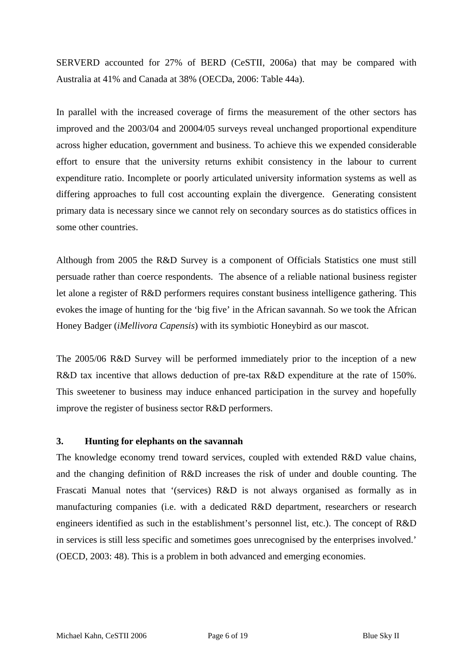SERVERD accounted for 27% of BERD (CeSTII, 2006a) that may be compared with Australia at 41% and Canada at 38% (OECDa, 2006: Table 44a).

In parallel with the increased coverage of firms the measurement of the other sectors has improved and the 2003/04 and 20004/05 surveys reveal unchanged proportional expenditure across higher education, government and business. To achieve this we expended considerable effort to ensure that the university returns exhibit consistency in the labour to current expenditure ratio. Incomplete or poorly articulated university information systems as well as differing approaches to full cost accounting explain the divergence. Generating consistent primary data is necessary since we cannot rely on secondary sources as do statistics offices in some other countries.

Although from 2005 the R&D Survey is a component of Officials Statistics one must still persuade rather than coerce respondents. The absence of a reliable national business register let alone a register of R&D performers requires constant business intelligence gathering. This evokes the image of hunting for the 'big five' in the African savannah. So we took the African Honey Badger (*iMellivora Capensis*) with its symbiotic Honeybird as our mascot.

The 2005/06 R&D Survey will be performed immediately prior to the inception of a new R&D tax incentive that allows deduction of pre-tax R&D expenditure at the rate of 150%. This sweetener to business may induce enhanced participation in the survey and hopefully improve the register of business sector R&D performers.

#### **3. Hunting for elephants on the savannah**

The knowledge economy trend toward services, coupled with extended R&D value chains, and the changing definition of R&D increases the risk of under and double counting. The Frascati Manual notes that '(services) R&D is not always organised as formally as in manufacturing companies (i.e. with a dedicated R&D department, researchers or research engineers identified as such in the establishment's personnel list, etc.). The concept of R&D in services is still less specific and sometimes goes unrecognised by the enterprises involved.' (OECD, 2003: 48). This is a problem in both advanced and emerging economies.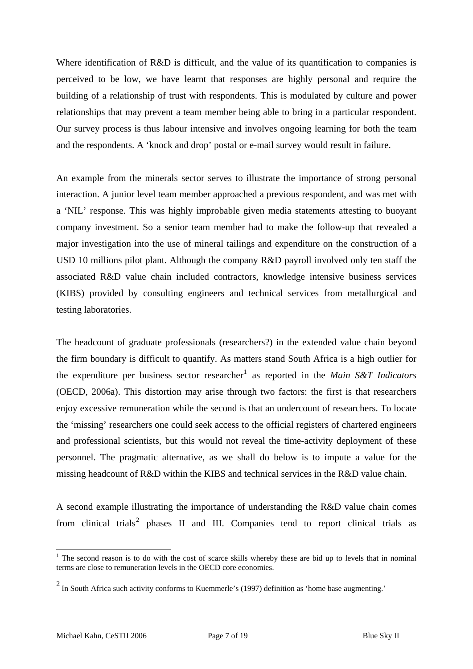Where identification of R&D is difficult, and the value of its quantification to companies is perceived to be low, we have learnt that responses are highly personal and require the building of a relationship of trust with respondents. This is modulated by culture and power relationships that may prevent a team member being able to bring in a particular respondent. Our survey process is thus labour intensive and involves ongoing learning for both the team and the respondents. A 'knock and drop' postal or e-mail survey would result in failure.

An example from the minerals sector serves to illustrate the importance of strong personal interaction. A junior level team member approached a previous respondent, and was met with a 'NIL' response. This was highly improbable given media statements attesting to buoyant company investment. So a senior team member had to make the follow-up that revealed a major investigation into the use of mineral tailings and expenditure on the construction of a USD 10 millions pilot plant. Although the company R&D payroll involved only ten staff the associated R&D value chain included contractors, knowledge intensive business services (KIBS) provided by consulting engineers and technical services from metallurgical and testing laboratories.

The headcount of graduate professionals (researchers?) in the extended value chain beyond the firm boundary is difficult to quantify. As matters stand South Africa is a high outlier for the expenditure per business sector researcher<sup>[1](#page-6-0)</sup> as reported in the *Main S&T Indicators* (OECD, 2006a). This distortion may arise through two factors: the first is that researchers enjoy excessive remuneration while the second is that an undercount of researchers. To locate the 'missing' researchers one could seek access to the official registers of chartered engineers and professional scientists, but this would not reveal the time-activity deployment of these personnel. The pragmatic alternative, as we shall do below is to impute a value for the missing headcount of R&D within the KIBS and technical services in the R&D value chain.

A second example illustrating the importance of understanding the R&D value chain comes from clinical trials<sup>[2](#page-6-1)</sup> phases II and III. Companies tend to report clinical trials as

1

<span id="page-6-0"></span> $1$  The second reason is to do with the cost of scarce skills whereby these are bid up to levels that in nominal terms are close to remuneration levels in the OECD core economies.

<span id="page-6-1"></span> $2$  In South Africa such activity conforms to Kuemmerle's (1997) definition as 'home base augmenting.'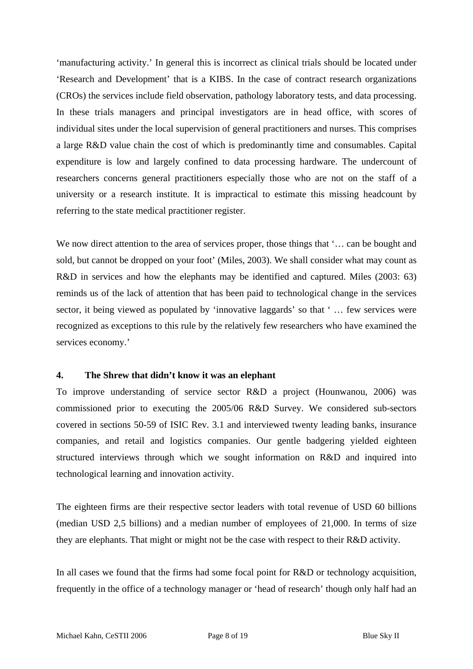'manufacturing activity.' In general this is incorrect as clinical trials should be located under 'Research and Development' that is a KIBS. In the case of contract research organizations (CROs) the services include field observation, pathology laboratory tests, and data processing. In these trials managers and principal investigators are in head office, with scores of individual sites under the local supervision of general practitioners and nurses. This comprises a large R&D value chain the cost of which is predominantly time and consumables. Capital expenditure is low and largely confined to data processing hardware. The undercount of researchers concerns general practitioners especially those who are not on the staff of a university or a research institute. It is impractical to estimate this missing headcount by referring to the state medical practitioner register.

We now direct attention to the area of services proper, those things that '... can be bought and sold, but cannot be dropped on your foot' (Miles, 2003). We shall consider what may count as R&D in services and how the elephants may be identified and captured. Miles (2003: 63) reminds us of the lack of attention that has been paid to technological change in the services sector, it being viewed as populated by 'innovative laggards' so that ' … few services were recognized as exceptions to this rule by the relatively few researchers who have examined the services economy.'

#### **4. The Shrew that didn't know it was an elephant**

To improve understanding of service sector R&D a project (Hounwanou, 2006) was commissioned prior to executing the 2005/06 R&D Survey. We considered sub-sectors covered in sections 50-59 of ISIC Rev. 3.1 and interviewed twenty leading banks, insurance companies, and retail and logistics companies. Our gentle badgering yielded eighteen structured interviews through which we sought information on R&D and inquired into technological learning and innovation activity.

The eighteen firms are their respective sector leaders with total revenue of USD 60 billions (median USD 2,5 billions) and a median number of employees of 21,000. In terms of size they are elephants. That might or might not be the case with respect to their R&D activity.

In all cases we found that the firms had some focal point for R&D or technology acquisition, frequently in the office of a technology manager or 'head of research' though only half had an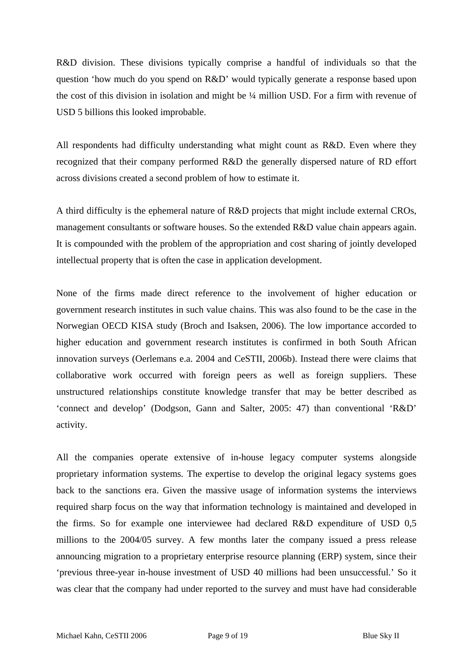R&D division. These divisions typically comprise a handful of individuals so that the question 'how much do you spend on R&D' would typically generate a response based upon the cost of this division in isolation and might be ¼ million USD. For a firm with revenue of USD 5 billions this looked improbable.

All respondents had difficulty understanding what might count as R&D. Even where they recognized that their company performed R&D the generally dispersed nature of RD effort across divisions created a second problem of how to estimate it.

A third difficulty is the ephemeral nature of R&D projects that might include external CROs, management consultants or software houses. So the extended R&D value chain appears again. It is compounded with the problem of the appropriation and cost sharing of jointly developed intellectual property that is often the case in application development.

None of the firms made direct reference to the involvement of higher education or government research institutes in such value chains. This was also found to be the case in the Norwegian OECD KISA study (Broch and Isaksen, 2006). The low importance accorded to higher education and government research institutes is confirmed in both South African innovation surveys (Oerlemans e.a. 2004 and CeSTII, 2006b). Instead there were claims that collaborative work occurred with foreign peers as well as foreign suppliers. These unstructured relationships constitute knowledge transfer that may be better described as 'connect and develop' (Dodgson, Gann and Salter, 2005: 47) than conventional 'R&D' activity.

All the companies operate extensive of in-house legacy computer systems alongside proprietary information systems. The expertise to develop the original legacy systems goes back to the sanctions era. Given the massive usage of information systems the interviews required sharp focus on the way that information technology is maintained and developed in the firms. So for example one interviewee had declared R&D expenditure of USD 0,5 millions to the 2004/05 survey. A few months later the company issued a press release announcing migration to a proprietary enterprise resource planning (ERP) system, since their 'previous three-year in-house investment of USD 40 millions had been unsuccessful.' So it was clear that the company had under reported to the survey and must have had considerable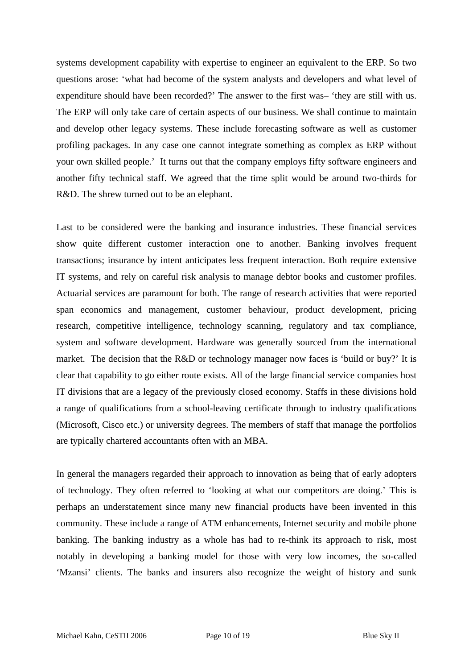systems development capability with expertise to engineer an equivalent to the ERP. So two questions arose: 'what had become of the system analysts and developers and what level of expenditure should have been recorded?' The answer to the first was– 'they are still with us. The ERP will only take care of certain aspects of our business. We shall continue to maintain and develop other legacy systems. These include forecasting software as well as customer profiling packages. In any case one cannot integrate something as complex as ERP without your own skilled people.' It turns out that the company employs fifty software engineers and another fifty technical staff. We agreed that the time split would be around two-thirds for R&D. The shrew turned out to be an elephant.

Last to be considered were the banking and insurance industries. These financial services show quite different customer interaction one to another. Banking involves frequent transactions; insurance by intent anticipates less frequent interaction. Both require extensive IT systems, and rely on careful risk analysis to manage debtor books and customer profiles. Actuarial services are paramount for both. The range of research activities that were reported span economics and management, customer behaviour, product development, pricing research, competitive intelligence, technology scanning, regulatory and tax compliance, system and software development. Hardware was generally sourced from the international market. The decision that the R&D or technology manager now faces is 'build or buy?' It is clear that capability to go either route exists. All of the large financial service companies host IT divisions that are a legacy of the previously closed economy. Staffs in these divisions hold a range of qualifications from a school-leaving certificate through to industry qualifications (Microsoft, Cisco etc.) or university degrees. The members of staff that manage the portfolios are typically chartered accountants often with an MBA.

In general the managers regarded their approach to innovation as being that of early adopters of technology. They often referred to 'looking at what our competitors are doing.' This is perhaps an understatement since many new financial products have been invented in this community. These include a range of ATM enhancements, Internet security and mobile phone banking. The banking industry as a whole has had to re-think its approach to risk, most notably in developing a banking model for those with very low incomes, the so-called 'Mzansi' clients. The banks and insurers also recognize the weight of history and sunk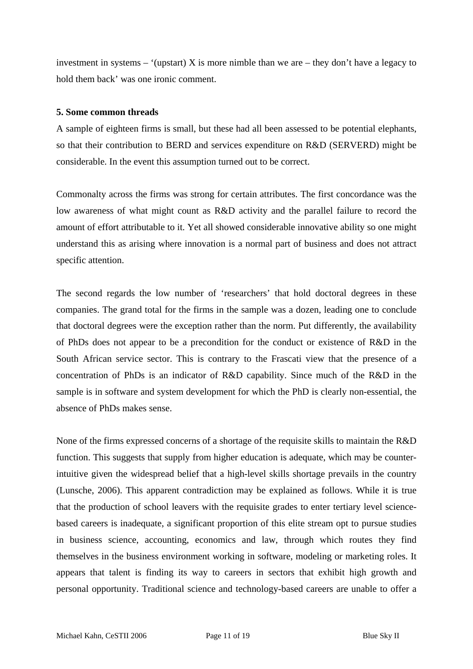investment in systems – '(upstart) X is more nimble than we are – they don't have a legacy to hold them back' was one ironic comment.

#### **5. Some common threads**

A sample of eighteen firms is small, but these had all been assessed to be potential elephants, so that their contribution to BERD and services expenditure on R&D (SERVERD) might be considerable. In the event this assumption turned out to be correct.

Commonalty across the firms was strong for certain attributes. The first concordance was the low awareness of what might count as R&D activity and the parallel failure to record the amount of effort attributable to it. Yet all showed considerable innovative ability so one might understand this as arising where innovation is a normal part of business and does not attract specific attention.

The second regards the low number of 'researchers' that hold doctoral degrees in these companies. The grand total for the firms in the sample was a dozen, leading one to conclude that doctoral degrees were the exception rather than the norm. Put differently, the availability of PhDs does not appear to be a precondition for the conduct or existence of R&D in the South African service sector. This is contrary to the Frascati view that the presence of a concentration of PhDs is an indicator of R&D capability. Since much of the R&D in the sample is in software and system development for which the PhD is clearly non-essential, the absence of PhDs makes sense.

None of the firms expressed concerns of a shortage of the requisite skills to maintain the R&D function. This suggests that supply from higher education is adequate, which may be counterintuitive given the widespread belief that a high-level skills shortage prevails in the country (Lunsche, 2006). This apparent contradiction may be explained as follows. While it is true that the production of school leavers with the requisite grades to enter tertiary level sciencebased careers is inadequate, a significant proportion of this elite stream opt to pursue studies in business science, accounting, economics and law, through which routes they find themselves in the business environment working in software, modeling or marketing roles. It appears that talent is finding its way to careers in sectors that exhibit high growth and personal opportunity. Traditional science and technology-based careers are unable to offer a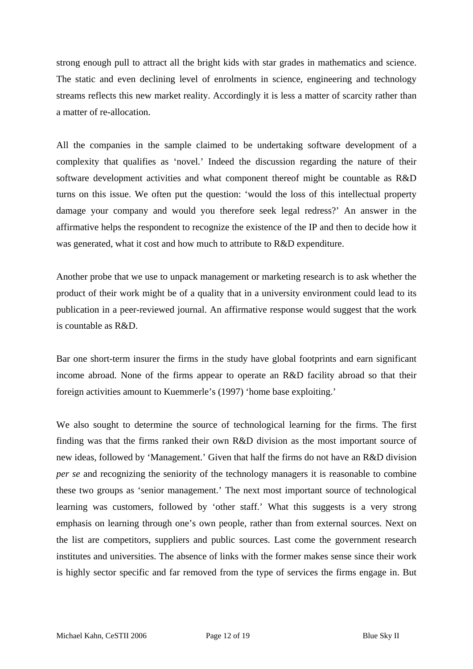strong enough pull to attract all the bright kids with star grades in mathematics and science. The static and even declining level of enrolments in science, engineering and technology streams reflects this new market reality. Accordingly it is less a matter of scarcity rather than a matter of re-allocation.

All the companies in the sample claimed to be undertaking software development of a complexity that qualifies as 'novel.' Indeed the discussion regarding the nature of their software development activities and what component thereof might be countable as R&D turns on this issue. We often put the question: 'would the loss of this intellectual property damage your company and would you therefore seek legal redress?' An answer in the affirmative helps the respondent to recognize the existence of the IP and then to decide how it was generated, what it cost and how much to attribute to R&D expenditure.

Another probe that we use to unpack management or marketing research is to ask whether the product of their work might be of a quality that in a university environment could lead to its publication in a peer-reviewed journal. An affirmative response would suggest that the work is countable as R&D.

Bar one short-term insurer the firms in the study have global footprints and earn significant income abroad. None of the firms appear to operate an R&D facility abroad so that their foreign activities amount to Kuemmerle's (1997) 'home base exploiting.'

We also sought to determine the source of technological learning for the firms. The first finding was that the firms ranked their own R&D division as the most important source of new ideas, followed by 'Management.' Given that half the firms do not have an R&D division *per se* and recognizing the seniority of the technology managers it is reasonable to combine these two groups as 'senior management.' The next most important source of technological learning was customers, followed by 'other staff.' What this suggests is a very strong emphasis on learning through one's own people, rather than from external sources. Next on the list are competitors, suppliers and public sources. Last come the government research institutes and universities. The absence of links with the former makes sense since their work is highly sector specific and far removed from the type of services the firms engage in. But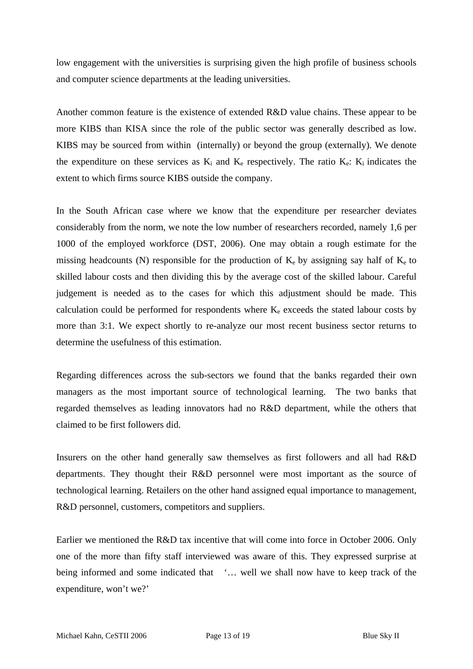low engagement with the universities is surprising given the high profile of business schools and computer science departments at the leading universities.

Another common feature is the existence of extended R&D value chains. These appear to be more KIBS than KISA since the role of the public sector was generally described as low. KIBS may be sourced from within (internally) or beyond the group (externally). We denote the expenditure on these services as  $K_i$  and  $K_e$  respectively. The ratio  $K_e$ :  $K_i$  indicates the extent to which firms source KIBS outside the company.

In the South African case where we know that the expenditure per researcher deviates considerably from the norm, we note the low number of researchers recorded, namely 1,6 per 1000 of the employed workforce (DST, 2006). One may obtain a rough estimate for the missing headcounts (N) responsible for the production of  $K_e$  by assigning say half of  $K_e$  to skilled labour costs and then dividing this by the average cost of the skilled labour. Careful judgement is needed as to the cases for which this adjustment should be made. This calculation could be performed for respondents where  $K_e$  exceeds the stated labour costs by more than 3:1. We expect shortly to re-analyze our most recent business sector returns to determine the usefulness of this estimation.

Regarding differences across the sub-sectors we found that the banks regarded their own managers as the most important source of technological learning. The two banks that regarded themselves as leading innovators had no R&D department, while the others that claimed to be first followers did.

Insurers on the other hand generally saw themselves as first followers and all had R&D departments. They thought their R&D personnel were most important as the source of technological learning. Retailers on the other hand assigned equal importance to management, R&D personnel, customers, competitors and suppliers.

Earlier we mentioned the R&D tax incentive that will come into force in October 2006. Only one of the more than fifty staff interviewed was aware of this. They expressed surprise at being informed and some indicated that '... well we shall now have to keep track of the expenditure, won't we?'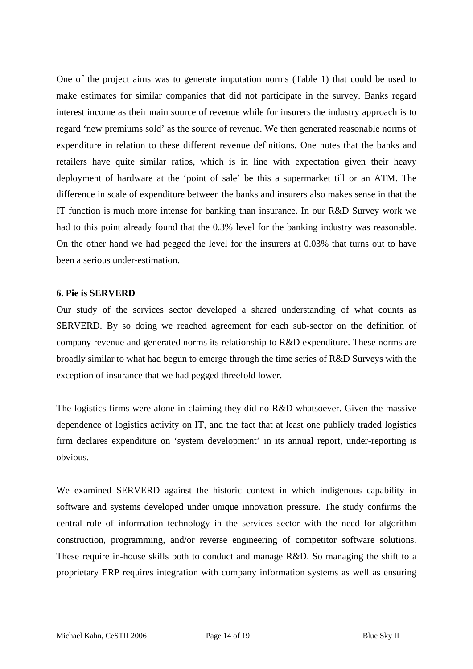One of the project aims was to generate imputation norms (Table 1) that could be used to make estimates for similar companies that did not participate in the survey. Banks regard interest income as their main source of revenue while for insurers the industry approach is to regard 'new premiums sold' as the source of revenue. We then generated reasonable norms of expenditure in relation to these different revenue definitions. One notes that the banks and retailers have quite similar ratios, which is in line with expectation given their heavy deployment of hardware at the 'point of sale' be this a supermarket till or an ATM. The difference in scale of expenditure between the banks and insurers also makes sense in that the IT function is much more intense for banking than insurance. In our R&D Survey work we had to this point already found that the 0.3% level for the banking industry was reasonable. On the other hand we had pegged the level for the insurers at 0.03% that turns out to have been a serious under-estimation.

#### **6. Pie is SERVERD**

Our study of the services sector developed a shared understanding of what counts as SERVERD. By so doing we reached agreement for each sub-sector on the definition of company revenue and generated norms its relationship to R&D expenditure. These norms are broadly similar to what had begun to emerge through the time series of R&D Surveys with the exception of insurance that we had pegged threefold lower.

The logistics firms were alone in claiming they did no R&D whatsoever. Given the massive dependence of logistics activity on IT, and the fact that at least one publicly traded logistics firm declares expenditure on 'system development' in its annual report, under-reporting is obvious.

We examined SERVERD against the historic context in which indigenous capability in software and systems developed under unique innovation pressure. The study confirms the central role of information technology in the services sector with the need for algorithm construction, programming, and/or reverse engineering of competitor software solutions. These require in-house skills both to conduct and manage R&D. So managing the shift to a proprietary ERP requires integration with company information systems as well as ensuring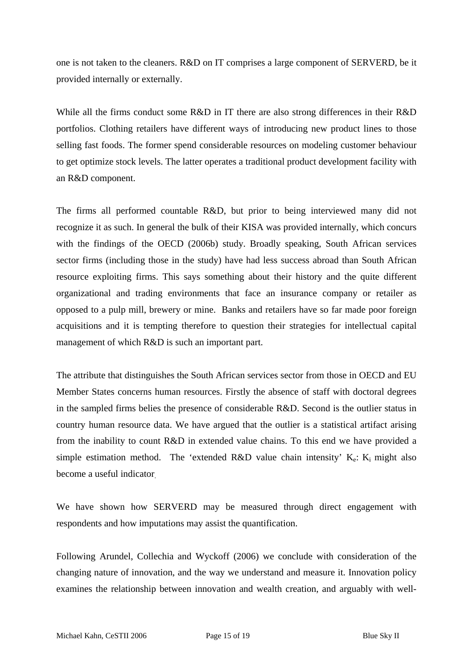one is not taken to the cleaners. R&D on IT comprises a large component of SERVERD, be it provided internally or externally.

While all the firms conduct some R&D in IT there are also strong differences in their R&D portfolios. Clothing retailers have different ways of introducing new product lines to those selling fast foods. The former spend considerable resources on modeling customer behaviour to get optimize stock levels. The latter operates a traditional product development facility with an R&D component.

The firms all performed countable R&D, but prior to being interviewed many did not recognize it as such. In general the bulk of their KISA was provided internally, which concurs with the findings of the OECD (2006b) study. Broadly speaking, South African services sector firms (including those in the study) have had less success abroad than South African resource exploiting firms. This says something about their history and the quite different organizational and trading environments that face an insurance company or retailer as opposed to a pulp mill, brewery or mine. Banks and retailers have so far made poor foreign acquisitions and it is tempting therefore to question their strategies for intellectual capital management of which R&D is such an important part.

The attribute that distinguishes the South African services sector from those in OECD and EU Member States concerns human resources. Firstly the absence of staff with doctoral degrees in the sampled firms belies the presence of considerable R&D. Second is the outlier status in country human resource data. We have argued that the outlier is a statistical artifact arising from the inability to count R&D in extended value chains. To this end we have provided a simple estimation method. The 'extended R&D value chain intensity'  $K_e$ :  $K_i$  might also become a useful indicator.

We have shown how SERVERD may be measured through direct engagement with respondents and how imputations may assist the quantification.

Following Arundel, Collechia and Wyckoff (2006) we conclude with consideration of the changing nature of innovation, and the way we understand and measure it. Innovation policy examines the relationship between innovation and wealth creation, and arguably with well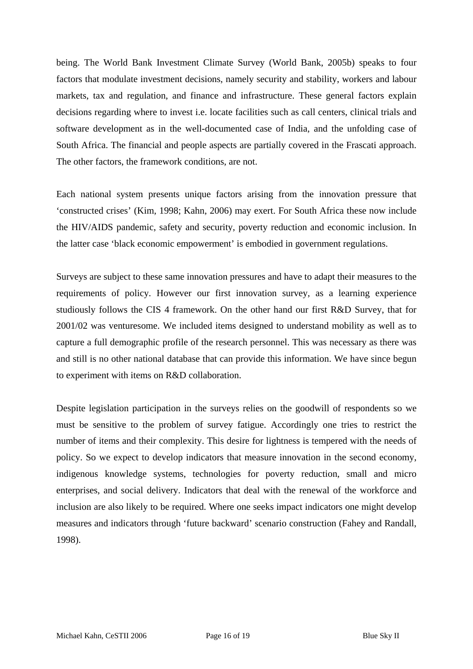being. The World Bank Investment Climate Survey (World Bank, 2005b) speaks to four factors that modulate investment decisions, namely security and stability, workers and labour markets, tax and regulation, and finance and infrastructure. These general factors explain decisions regarding where to invest i.e. locate facilities such as call centers, clinical trials and software development as in the well-documented case of India, and the unfolding case of South Africa. The financial and people aspects are partially covered in the Frascati approach. The other factors, the framework conditions, are not.

Each national system presents unique factors arising from the innovation pressure that 'constructed crises' (Kim, 1998; Kahn, 2006) may exert. For South Africa these now include the HIV/AIDS pandemic, safety and security, poverty reduction and economic inclusion. In the latter case 'black economic empowerment' is embodied in government regulations.

Surveys are subject to these same innovation pressures and have to adapt their measures to the requirements of policy. However our first innovation survey, as a learning experience studiously follows the CIS 4 framework. On the other hand our first R&D Survey, that for 2001/02 was venturesome. We included items designed to understand mobility as well as to capture a full demographic profile of the research personnel. This was necessary as there was and still is no other national database that can provide this information. We have since begun to experiment with items on R&D collaboration.

Despite legislation participation in the surveys relies on the goodwill of respondents so we must be sensitive to the problem of survey fatigue. Accordingly one tries to restrict the number of items and their complexity. This desire for lightness is tempered with the needs of policy. So we expect to develop indicators that measure innovation in the second economy, indigenous knowledge systems, technologies for poverty reduction, small and micro enterprises, and social delivery. Indicators that deal with the renewal of the workforce and inclusion are also likely to be required. Where one seeks impact indicators one might develop measures and indicators through 'future backward' scenario construction (Fahey and Randall, 1998).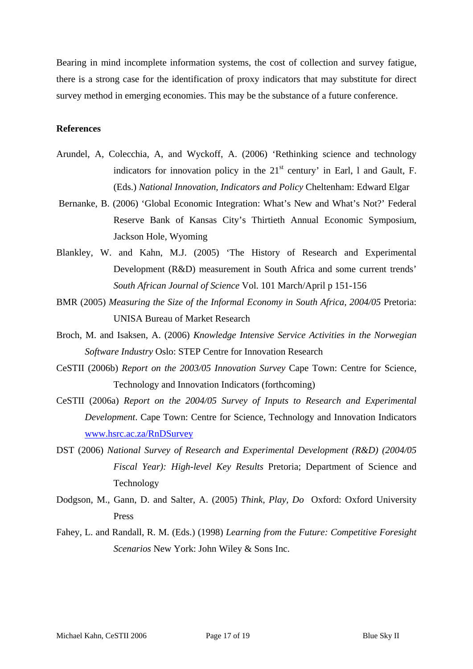Bearing in mind incomplete information systems, the cost of collection and survey fatigue, there is a strong case for the identification of proxy indicators that may substitute for direct survey method in emerging economies. This may be the substance of a future conference.

#### **References**

- Arundel, A, Colecchia, A, and Wyckoff, A. (2006) 'Rethinking science and technology indicators for innovation policy in the  $21<sup>st</sup>$  century' in Earl, 1 and Gault, F. (Eds.) *National Innovation, Indicators and Policy* Cheltenham: Edward Elgar
- Bernanke, B. (2006) 'Global Economic Integration: What's New and What's Not?' Federal Reserve Bank of Kansas City's Thirtieth Annual Economic Symposium, Jackson Hole, Wyoming
- Blankley, W. and Kahn, M.J. (2005) 'The History of Research and Experimental Development (R&D) measurement in South Africa and some current trends' *South African Journal of Science* Vol. 101 March/April p 151-156
- BMR (2005) *Measuring the Size of the Informal Economy in South Africa, 2004/05* Pretoria: UNISA Bureau of Market Research
- Broch, M. and Isaksen, A. (2006) *Knowledge Intensive Service Activities in the Norwegian Software Industry* Oslo: STEP Centre for Innovation Research
- CeSTII (2006b) *Report on the 2003/05 Innovation Survey* Cape Town: Centre for Science, Technology and Innovation Indicators (forthcoming)
- CeSTII (2006a) *Report on the 2004/05 Survey of Inputs to Research and Experimental Development*. Cape Town: Centre for Science, Technology and Innovation Indicators [www.hsrc.ac.za/RnDSurvey](http://www.hsrc.ac.za/RnDSurvey)
- DST (2006) *National Survey of Research and Experimental Development (R&D) (2004/05 Fiscal Year): High-level Key Results* Pretoria; Department of Science and Technology
- Dodgson, M., Gann, D. and Salter, A. (2005) *Think, Play, Do* Oxford: Oxford University Press
- Fahey, L. and Randall, R. M. (Eds.) (1998) *Learning from the Future: Competitive Foresight Scenarios* New York: John Wiley & Sons Inc.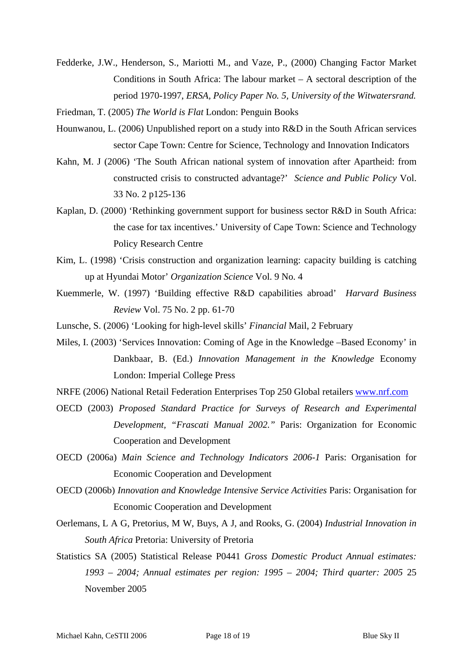- Fedderke, J.W., Henderson, S., Mariotti M., and Vaze, P., (2000) Changing Factor Market Conditions in South Africa: The labour market – A sectoral description of the period 1970-1997, *ERSA, Policy Paper No. 5, University of the Witwatersrand.*
- Friedman, T. (2005) *The World is Flat* London: Penguin Books
- Hounwanou, L. (2006) Unpublished report on a study into R&D in the South African services sector Cape Town: Centre for Science, Technology and Innovation Indicators
- Kahn, M. J (2006) 'The South African national system of innovation after Apartheid: from constructed crisis to constructed advantage?' *Science and Public Policy* Vol. 33 No. 2 p125-136
- Kaplan, D. (2000) 'Rethinking government support for business sector R&D in South Africa: the case for tax incentives.' University of Cape Town: Science and Technology Policy Research Centre
- Kim, L. (1998) 'Crisis construction and organization learning: capacity building is catching up at Hyundai Motor' *Organization Science* Vol. 9 No. 4
- Kuemmerle, W. (1997) 'Building effective R&D capabilities abroad' *Harvard Business Review* Vol. 75 No. 2 pp. 61-70
- Lunsche, S. (2006) 'Looking for high-level skills' *Financial* Mail, 2 February
- Miles, I. (2003) 'Services Innovation: Coming of Age in the Knowledge –Based Economy' in Dankbaar, B. (Ed.) *Innovation Management in the Knowledge* Economy London: Imperial College Press
- NRFE (2006) National Retail Federation Enterprises Top 250 Global retailers [www.nrf.com](http://www.nrf.com/)
- OECD (2003) *Proposed Standard Practice for Surveys of Research and Experimental Development, "Frascati Manual 2002."* Paris: Organization for Economic Cooperation and Development
- OECD (2006a) *Main Science and Technology Indicators 2006-1* Paris: Organisation for Economic Cooperation and Development
- OECD (2006b) *Innovation and Knowledge Intensive Service Activities* Paris: Organisation for Economic Cooperation and Development
- Oerlemans, L A G, Pretorius, M W, Buys, A J, and Rooks, G. (2004) *Industrial Innovation in South Africa* Pretoria: University of Pretoria
- Statistics SA (2005) Statistical Release P0441 *Gross Domestic Product Annual estimates: 1993 – 2004; Annual estimates per region: 1995 – 2004; Third quarter: 2005* 25 November 2005